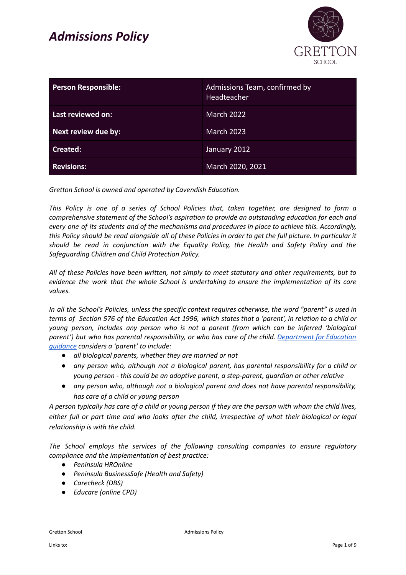

| <b>Person Responsible:</b> | Admissions Team, confirmed by<br>Headteacher |
|----------------------------|----------------------------------------------|
| Last reviewed on:          | March 2022                                   |
| Next review due by:        | <b>March 2023</b>                            |
| Created:                   | January 2012                                 |
| <b>Revisions:</b>          | March 2020, 2021                             |

*Gretton School is owned and operated by Cavendish Education.*

*This Policy is one of a series of School Policies that, taken together, are designed to form a comprehensive statement of the School's aspiration to provide an outstanding education for each and every one of its students and of the mechanisms and procedures in place to achieve this. Accordingly,* this Policy should be read alongside all of these Policies in order to get the full picture. In particular it *should be read in conjunction with the Equality Policy, the Health and Safety Policy and the Safeguarding Children and Child Protection Policy.*

*All of these Policies have been written, not simply to meet statutory and other requirements, but to evidence the work that the whole School is undertaking to ensure the implementation of its core values.*

In all the School's Policies, unless the specific context requires otherwise, the word "parent" is used in terms of Section 576 of the Education Act 1996, which states that a 'parent', in relation to a child or *young person, includes any person who is not a parent (from which can be inferred 'biological parent') but who has parental responsibility, or who has care of the child. [Department](https://www.gov.uk/government/publications/dealing-with-issues-relating-to-parental-responsibility/understanding-and-dealing-with-issues-relating-to-parental-responsibility) for Education [guidance](https://www.gov.uk/government/publications/dealing-with-issues-relating-to-parental-responsibility/understanding-and-dealing-with-issues-relating-to-parental-responsibility) considers a 'parent' to include:*

- *● all biological parents, whether they are married or not*
- *● any person who, although not a biological parent, has parental responsibility for a child or young person - this could be an adoptive parent, a step-parent, guardian or other relative*
- *● any person who, although not a biological parent and does not have parental responsibility, has care of a child or young person*

A person typically has care of a child or young person if they are the person with whom the child lives, either full or part time and who looks after the child, irrespective of what their biological or legal *relationship is with the child.*

*The School employs the services of the following consulting companies to ensure regulatory compliance and the implementation of best practice:*

- *● Peninsula HROnline*
- *● Peninsula BusinessSafe (Health and Safety)*
- *● Carecheck (DBS)*
- *● Educare (online CPD)*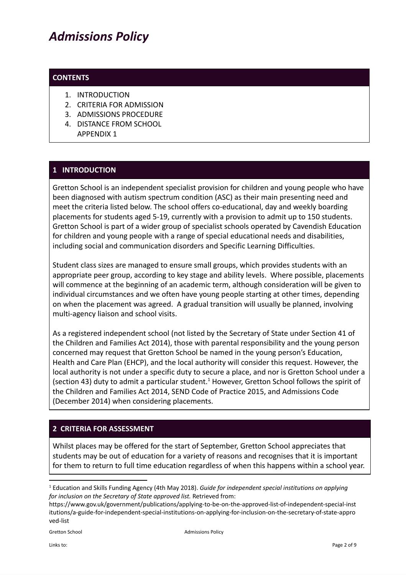#### **CONTENTS**

- 1. INTRODUCTION
- 2. CRITERIA FOR ADMISSION
- 3. ADMISSIONS PROCEDURE
- 4. DISTANCE FROM SCHOOL APPENDIX 1

### **1 INTRODUCTION**

Gretton School is an independent specialist provision for children and young people who have been diagnosed with autism spectrum condition (ASC) as their main presenting need and meet the criteria listed below. The school offers co-educational, day and weekly boarding placements for students aged 5-19, currently with a provision to admit up to 150 students. Gretton School is part of a wider group of specialist schools operated by Cavendish Education for children and young people with a range of special educational needs and disabilities, including social and communication disorders and Specific Learning Difficulties.

Student class sizes are managed to ensure small groups, which provides students with an appropriate peer group, according to key stage and ability levels. Where possible, placements will commence at the beginning of an academic term, although consideration will be given to individual circumstances and we often have young people starting at other times, depending on when the placement was agreed. A gradual transition will usually be planned, involving multi-agency liaison and school visits.

As a registered independent school (not listed by the Secretary of State under Section 41 of the Children and Families Act 2014), those with parental responsibility and the young person concerned may request that Gretton School be named in the young person's Education, Health and Care Plan (EHCP), and the local authority will consider this request. However, the local authority is not under a specific duty to secure a place, and nor is Gretton School under a (section 43) duty to admit a particular student.<sup>1</sup> However, Gretton School follows the spirit of the Children and Families Act 2014, SEND Code of Practice 2015, and Admissions Code (December 2014) when considering placements.

### **2 CRITERIA FOR ASSESSMENT**

Whilst places may be offered for the start of September, Gretton School appreciates that students may be out of education for a variety of reasons and recognises that it is important for them to return to full time education regardless of when this happens within a school year.

<sup>1</sup> Education and Skills Funding Agency (4th May 2018). *Guide for independent special institutions on applying for inclusion on the Secretary of State approved list.* Retrieved from:

https://www.gov.uk/government/publications/applying-to-be-on-the-approved-list-of-independent-special-inst itutions/a-guide-for-independent-special-institutions-on-applying-for-inclusion-on-the-secretary-of-state-appro ved-list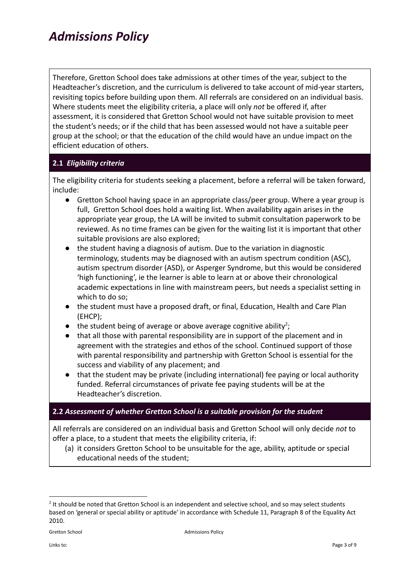Therefore, Gretton School does take admissions at other times of the year, subject to the Headteacher's discretion, and the curriculum is delivered to take account of mid-year starters, revisiting topics before building upon them. All referrals are considered on an individual basis. Where students meet the eligibility criteria, a place will only *not* be offered if, after assessment, it is considered that Gretton School would not have suitable provision to meet the student's needs; or if the child that has been assessed would not have a suitable peer group at the school; or that the education of the child would have an undue impact on the efficient education of others.

### **2.1** *Eligibility criteria*

The eligibility criteria for students seeking a placement, before a referral will be taken forward, include:

- Gretton School having space in an appropriate class/peer group. Where a year group is full, Gretton School does hold a waiting list. When availability again arises in the appropriate year group, the LA will be invited to submit consultation paperwork to be reviewed. As no time frames can be given for the waiting list it is important that other suitable provisions are also explored;
- the student having a diagnosis of autism. Due to the variation in diagnostic terminology, students may be diagnosed with an autism spectrum condition (ASC), autism spectrum disorder (ASD), or Asperger Syndrome, but this would be considered 'high functioning', ie the learner is able to learn at or above their chronological academic expectations in line with mainstream peers, but needs a specialist setting in which to do so;
- the student must have a proposed draft, or final, Education, Health and Care Plan (EHCP);
- $\bullet$  the student being of average or above average cognitive ability<sup>2</sup>;
- that all those with parental responsibility are in support of the placement and in agreement with the strategies and ethos of the school. Continued support of those with parental responsibility and partnership with Gretton School is essential for the success and viability of any placement; and
- that the student may be private (including international) fee paying or local authority funded. Referral circumstances of private fee paying students will be at the Headteacher's discretion.

#### **2.2** *Assessment of whether Gretton School is a suitable provision for the student*

All referrals are considered on an individual basis and Gretton School will only decide *not* to offer a place, to a student that meets the eligibility criteria, if:

(a) it considers Gretton School to be unsuitable for the age, ability, aptitude or special educational needs of the student;

<sup>&</sup>lt;sup>2</sup> It should be noted that Gretton School is an independent and selective school, and so may select students based on 'general or special ability or aptitude' in accordance with Schedule 11, Paragraph 8 of the Equality Act 2010.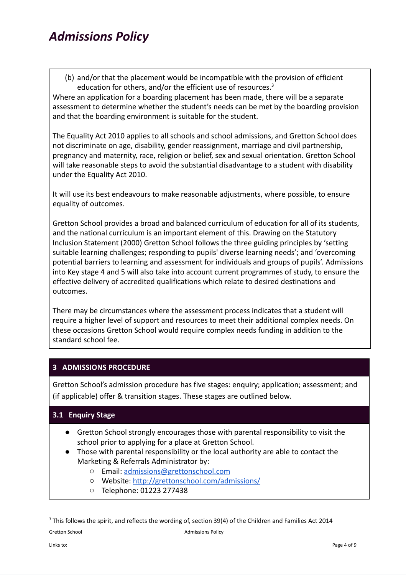(b) and/or that the placement would be incompatible with the provision of efficient education for others, and/or the efficient use of resources.<sup>3</sup>

Where an application for a boarding placement has been made, there will be a separate assessment to determine whether the student's needs can be met by the boarding provision and that the boarding environment is suitable for the student.

The Equality Act 2010 applies to all schools and school admissions, and Gretton School does not discriminate on age, disability, gender reassignment, marriage and civil partnership, pregnancy and maternity, race, religion or belief, sex and sexual orientation. Gretton School will take reasonable steps to avoid the substantial disadvantage to a student with disability under the Equality Act 2010.

It will use its best endeavours to make reasonable adjustments, where possible, to ensure equality of outcomes.

Gretton School provides a broad and balanced curriculum of education for all of its students, and the national curriculum is an important element of this. Drawing on the Statutory Inclusion Statement (2000) Gretton School follows the three guiding principles by 'setting suitable learning challenges; responding to pupils' diverse learning needs'; and 'overcoming potential barriers to learning and assessment for individuals and groups of pupils'. Admissions into Key stage 4 and 5 will also take into account current programmes of study, to ensure the effective delivery of accredited qualifications which relate to desired destinations and outcomes.

There may be circumstances where the assessment process indicates that a student will require a higher level of support and resources to meet their additional complex needs. On these occasions Gretton School would require complex needs funding in addition to the standard school fee.

### **3 ADMISSIONS PROCEDURE**

Gretton School's admission procedure has five stages: enquiry; application; assessment; and (if applicable) offer & transition stages. These stages are outlined below.

### **3.1 Enquiry Stage**

- Gretton School strongly encourages those with parental responsibility to visit the school prior to applying for a place at Gretton School.
- Those with parental responsibility or the local authority are able to contact the Marketing & Referrals Administrator by:
	- Email: [admissions@grettonschool.com](mailto:admissions@grettonschool.com)
	- Website: <http://grettonschool.com/admissions/>
	- Telephone: 01223 277438

 $3$  This follows the spirit, and reflects the wording of, section 39(4) of the Children and Families Act 2014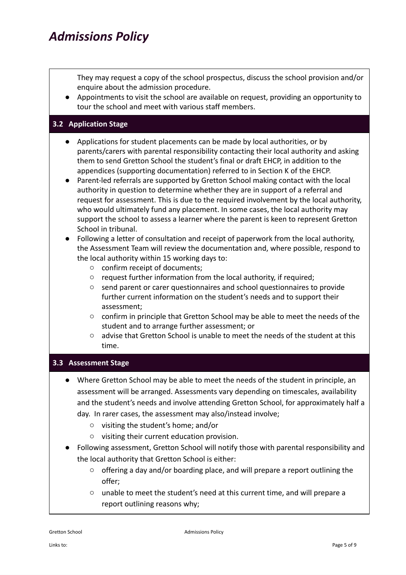They may request a copy of the school prospectus, discuss the school provision and/or enquire about the admission procedure.

● Appointments to visit the school are available on request, providing an opportunity to tour the school and meet with various staff members.

#### **3.2 Application Stage**

- Applications for student placements can be made by local authorities, or by parents/carers with parental responsibility contacting their local authority and asking them to send Gretton School the student's final or draft EHCP, in addition to the appendices (supporting documentation) referred to in Section K of the EHCP.
- Parent-led referrals are supported by Gretton School making contact with the local authority in question to determine whether they are in support of a referral and request for assessment. This is due to the required involvement by the local authority, who would ultimately fund any placement. In some cases, the local authority may support the school to assess a learner where the parent is keen to represent Gretton School in tribunal.
- Following a letter of consultation and receipt of paperwork from the local authority, the Assessment Team will review the documentation and, where possible, respond to the local authority within 15 working days to:
	- confirm receipt of documents;
	- request further information from the local authority, if required;
	- send parent or carer questionnaires and school questionnaires to provide further current information on the student's needs and to support their assessment;
	- confirm in principle that Gretton School may be able to meet the needs of the student and to arrange further assessment; or
	- advise that Gretton School is unable to meet the needs of the student at this time.

#### **3.3 Assessment Stage**

- Where Gretton School may be able to meet the needs of the student in principle, an assessment will be arranged. Assessments vary depending on timescales, availability and the student's needs and involve attending Gretton School, for approximately half a day. In rarer cases, the assessment may also/instead involve;
	- visiting the student's home; and/or
	- visiting their current education provision.
- Following assessment, Gretton School will notify those with parental responsibility and the local authority that Gretton School is either:
	- offering a day and/or boarding place, and will prepare a report outlining the offer;
	- unable to meet the student's need at this current time, and will prepare a report outlining reasons why;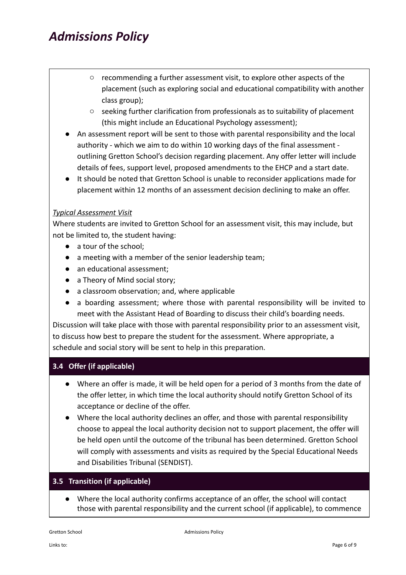- recommending a further assessment visit, to explore other aspects of the placement (such as exploring social and educational compatibility with another class group);
- seeking further clarification from professionals as to suitability of placement (this might include an Educational Psychology assessment);
- An assessment report will be sent to those with parental responsibility and the local authority - which we aim to do within 10 working days of the final assessment outlining Gretton School's decision regarding placement. Any offer letter will include details of fees, support level, proposed amendments to the EHCP and a start date.
- It should be noted that Gretton School is unable to reconsider applications made for placement within 12 months of an assessment decision declining to make an offer.

### *Typical Assessment Visit*

Where students are invited to Gretton School for an assessment visit, this may include, but not be limited to, the student having:

- a tour of the school;
- a meeting with a member of the senior leadership team;
- an educational assessment;
- a Theory of Mind social story;
- a classroom observation; and, where applicable
- a boarding assessment; where those with parental responsibility will be invited to meet with the Assistant Head of Boarding to discuss their child's boarding needs.

Discussion will take place with those with parental responsibility prior to an assessment visit, to discuss how best to prepare the student for the assessment. Where appropriate, a schedule and social story will be sent to help in this preparation.

#### **3.4 Offer (if applicable)**

- Where an offer is made, it will be held open for a period of 3 months from the date of the offer letter, in which time the local authority should notify Gretton School of its acceptance or decline of the offer.
- Where the local authority declines an offer, and those with parental responsibility choose to appeal the local authority decision not to support placement, the offer will be held open until the outcome of the tribunal has been determined. Gretton School will comply with assessments and visits as required by the Special Educational Needs and Disabilities Tribunal (SENDIST).

#### **3.5 Transition (if applicable)**

● Where the local authority confirms acceptance of an offer, the school will contact those with parental responsibility and the current school (if applicable), to commence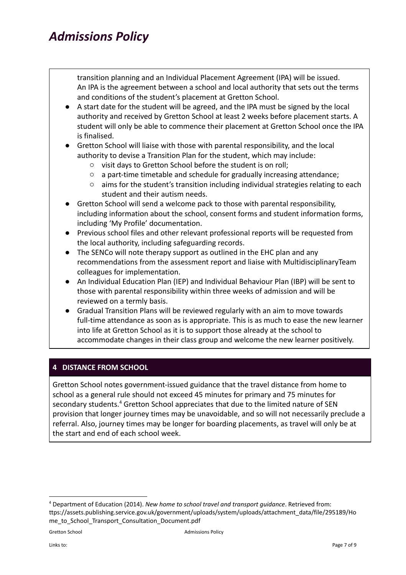transition planning and an Individual Placement Agreement (IPA) will be issued. An IPA is the agreement between a school and local authority that sets out the terms and conditions of the student's placement at Gretton School.

- A start date for the student will be agreed, and the IPA must be signed by the local authority and received by Gretton School at least 2 weeks before placement starts. A student will only be able to commence their placement at Gretton School once the IPA is finalised.
- Gretton School will liaise with those with parental responsibility, and the local authority to devise a Transition Plan for the student, which may include:
	- visit days to Gretton School before the student is on roll;
	- a part-time timetable and schedule for gradually increasing attendance;
	- aims for the student's transition including individual strategies relating to each student and their autism needs.
- Gretton School will send a welcome pack to those with parental responsibility, including information about the school, consent forms and student information forms, including 'My Profile' documentation.
- Previous school files and other relevant professional reports will be requested from the local authority, including safeguarding records.
- The SENCo will note therapy support as outlined in the EHC plan and any recommendations from the assessment report and liaise with MultidisciplinaryTeam colleagues for implementation.
- An Individual Education Plan (IEP) and Individual Behaviour Plan (IBP) will be sent to those with parental responsibility within three weeks of admission and will be reviewed on a termly basis.
- Gradual Transition Plans will be reviewed regularly with an aim to move towards full-time attendance as soon as is appropriate. This is as much to ease the new learner into life at Gretton School as it is to support those already at the school to accommodate changes in their class group and welcome the new learner positively.

### **4 DISTANCE FROM SCHOOL**

Gretton School notes government-issued guidance that the travel distance from home to school as a general rule should not exceed 45 minutes for primary and 75 minutes for secondary students.<sup>4</sup> Gretton School appreciates that due to the limited nature of SEN provision that longer journey times may be unavoidable, and so will not necessarily preclude a referral. Also, journey times may be longer for boarding placements, as travel will only be at the start and end of each school week.

<sup>4</sup> Department of Education (2014). *New home to school travel and transport guidance*. Retrieved from: ttps://assets.publishing.service.gov.uk/government/uploads/system/uploads/attachment\_data/file/295189/Ho me\_to\_School\_Transport\_Consultation\_Document.pdf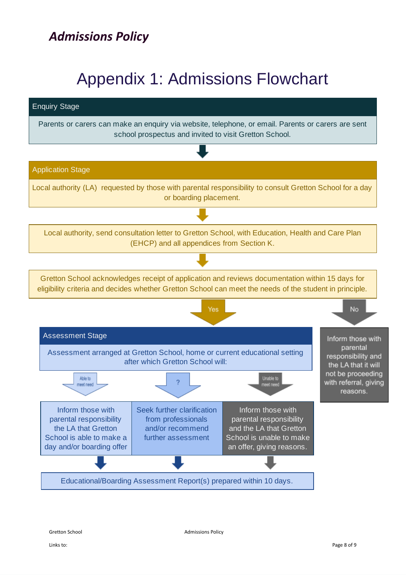# Appendix 1: Admissions Flowchart